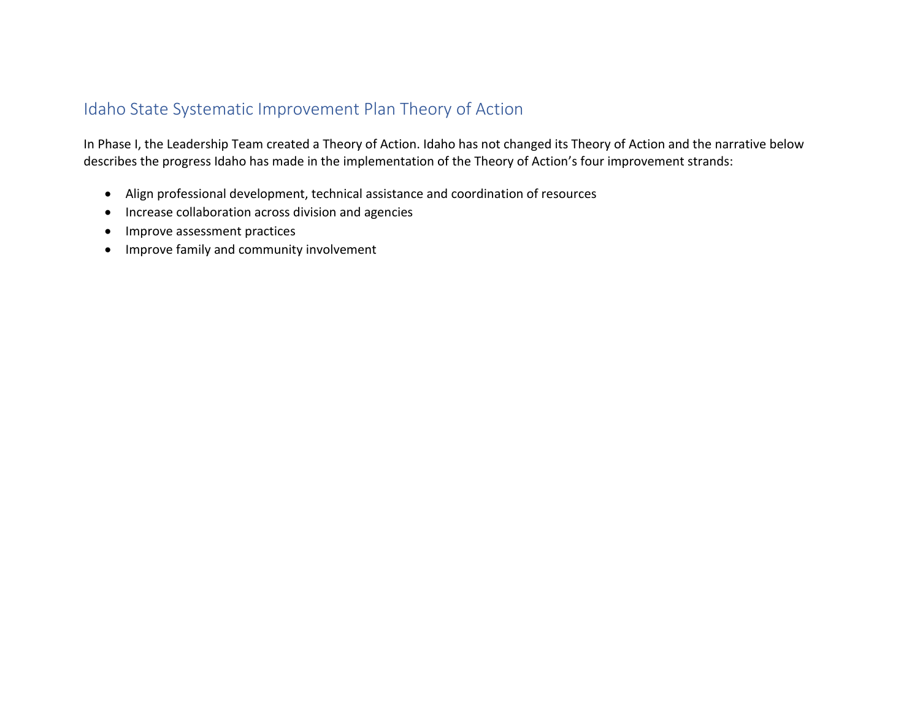## Idaho State Systematic Improvement Plan Theory of Action

In Phase I, the Leadership Team created a Theory of Action. Idaho has not changed its Theory of Action and the narrative below describes the progress Idaho has made in the implementation of the Theory of Action's four improvement strands:

- Align professional development, technical assistance and coordination of resources
- Increase collaboration across division and agencies
- Improve assessment practices
- Improve family and community involvement